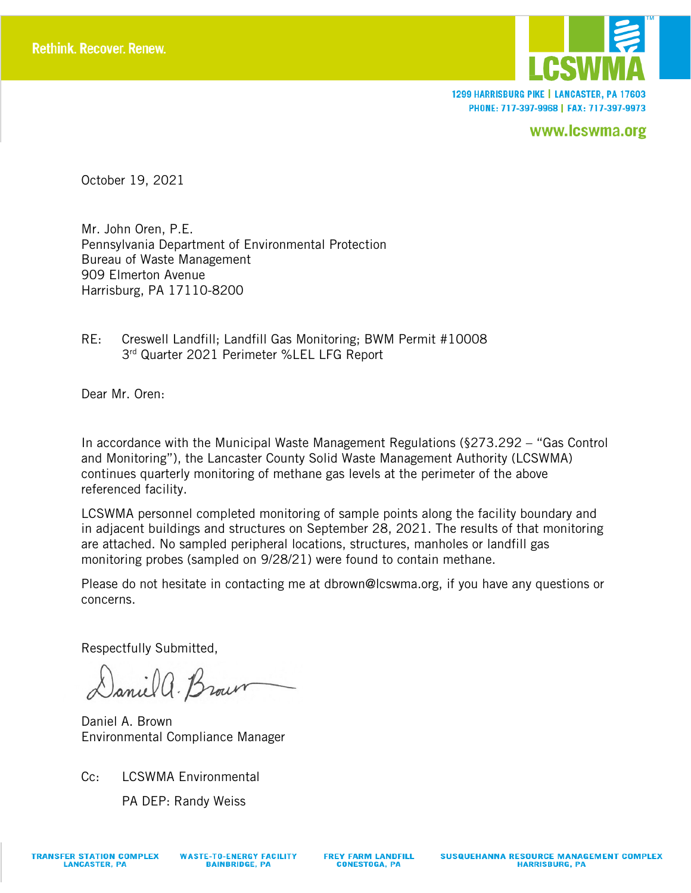

1299 HARRISBURG PIKE | LANCASTER, PA 17603 PHONE: 717-397-9968 | FAX: 717-397-9973

www.lcswma.org

October 19, 2021

Mr. John Oren, P.E. Pennsylvania Department of Environmental Protection Bureau of Waste Management 909 Elmerton Avenue Harrisburg, PA 17110-8200

RE: Creswell Landfill; Landfill Gas Monitoring; BWM Permit #10008 3rd Quarter 2021 Perimeter %LEL LFG Report

Dear Mr. Oren:

In accordance with the Municipal Waste Management Regulations (§273.292 – "Gas Control and Monitoring"), the Lancaster County Solid Waste Management Authority (LCSWMA) continues quarterly monitoring of methane gas levels at the perimeter of the above referenced facility.

LCSWMA personnel completed monitoring of sample points along the facility boundary and in adjacent buildings and structures on September 28, 2021. The results of that monitoring are attached. No sampled peripheral locations, structures, manholes or landfill gas monitoring probes (sampled on 9/28/21) were found to contain methane.

Please do not hesitate in contacting me at dbrown@lcswma.org, if you have any questions or concerns.

Respectfully Submitted,

Daniel a. Brown

Daniel A. Brown Environmental Compliance Manager

Cc: LCSWMA Environmental

PA DEP: Randy Weiss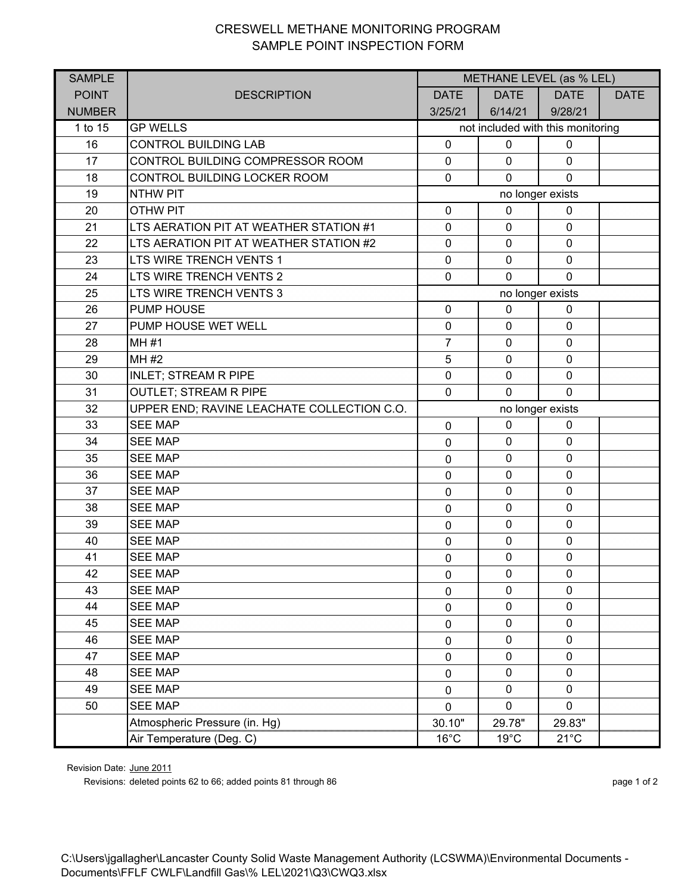## CRESWELL METHANE MONITORING PROGRAM SAMPLE POINT INSPECTION FORM

| <b>SAMPLE</b> |                                            | METHANE LEVEL (as % LEL)          |                |                |             |  |
|---------------|--------------------------------------------|-----------------------------------|----------------|----------------|-------------|--|
| <b>POINT</b>  | <b>DESCRIPTION</b>                         | <b>DATE</b>                       | <b>DATE</b>    | <b>DATE</b>    | <b>DATE</b> |  |
| <b>NUMBER</b> |                                            | 3/25/21                           | 6/14/21        | 9/28/21        |             |  |
| 1 to 15       | <b>GP WELLS</b>                            | not included with this monitoring |                |                |             |  |
| 16            | <b>CONTROL BUILDING LAB</b>                | $\mathbf 0$                       | $\mathbf 0$    | $\mathbf 0$    |             |  |
| 17            | CONTROL BUILDING COMPRESSOR ROOM           | $\mathbf 0$                       | $\mathbf 0$    | $\mathbf 0$    |             |  |
| 18            | CONTROL BUILDING LOCKER ROOM               | $\mathbf 0$                       | $\mathbf 0$    | $\mathbf 0$    |             |  |
| 19            | <b>NTHW PIT</b>                            | no longer exists                  |                |                |             |  |
| 20            | <b>OTHW PIT</b>                            | $\mathbf 0$                       | $\mathbf 0$    | $\mathbf 0$    |             |  |
| 21            | LTS AERATION PIT AT WEATHER STATION #1     | $\mathbf 0$                       | $\mathbf 0$    | $\mathbf 0$    |             |  |
| 22            | LTS AERATION PIT AT WEATHER STATION #2     | $\mathbf 0$                       | $\mathbf 0$    | $\mathbf 0$    |             |  |
| 23            | LTS WIRE TRENCH VENTS 1                    | $\mathbf 0$                       | $\mathbf 0$    | $\mathbf 0$    |             |  |
| 24            | LTS WIRE TRENCH VENTS 2                    | $\mathbf 0$                       | $\mathbf{0}$   | $\mathbf{0}$   |             |  |
| 25            | LTS WIRE TRENCH VENTS 3                    | no longer exists                  |                |                |             |  |
| 26            | <b>PUMP HOUSE</b>                          | $\mathbf 0$                       | $\mathbf 0$    | $\mathbf 0$    |             |  |
| 27            | PUMP HOUSE WET WELL                        | $\pmb{0}$                         | $\mathbf 0$    | $\mathbf 0$    |             |  |
| 28            | <b>MH#1</b>                                | $\overline{7}$                    | $\mathbf 0$    | $\mathbf 0$    |             |  |
| 29            | MH #2                                      | 5                                 | $\mathbf 0$    | $\mathbf 0$    |             |  |
| 30            | <b>INLET; STREAM R PIPE</b>                | $\mathbf 0$                       | $\mathbf 0$    | $\mathbf 0$    |             |  |
| 31            | <b>OUTLET; STREAM R PIPE</b>               | $\mathbf 0$                       | $\mathbf{0}$   | $\mathbf{0}$   |             |  |
| 32            | UPPER END; RAVINE LEACHATE COLLECTION C.O. | no longer exists                  |                |                |             |  |
| 33            | <b>SEE MAP</b>                             | $\mathbf 0$                       | $\mathbf 0$    | $\mathbf 0$    |             |  |
| 34            | <b>SEE MAP</b>                             | 0                                 | $\mathbf 0$    | $\mathbf 0$    |             |  |
| 35            | <b>SEE MAP</b>                             | $\mathbf 0$                       | $\mathbf 0$    | $\mathbf 0$    |             |  |
| 36            | <b>SEE MAP</b>                             | $\mathbf 0$                       | $\mathbf 0$    | $\mathbf 0$    |             |  |
| 37            | <b>SEE MAP</b>                             | $\mathbf 0$                       | $\mathbf 0$    | $\mathbf 0$    |             |  |
| 38            | <b>SEE MAP</b>                             | $\mathbf 0$                       | $\mathbf 0$    | $\mathbf 0$    |             |  |
| 39            | <b>SEE MAP</b>                             | $\mathbf 0$                       | $\mathbf 0$    | $\mathbf 0$    |             |  |
| 40            | <b>SEE MAP</b>                             | $\mathbf 0$                       | $\mathbf 0$    | $\mathbf 0$    |             |  |
| 41            | <b>SEE MAP</b>                             | $\pmb{0}$                         | $\mathbf 0$    | $\mathbf 0$    |             |  |
| 42            | <b>SEE MAP</b>                             | $\pmb{0}$                         | $\pmb{0}$      | $\pmb{0}$      |             |  |
| 43            | <b>SEE MAP</b>                             | 0                                 | $\mathbf 0$    | $\mathbf 0$    |             |  |
| 44            | <b>SEE MAP</b>                             | 0                                 | $\mathbf 0$    | $\mathbf 0$    |             |  |
| 45            | <b>SEE MAP</b>                             | $\mathbf 0$                       | $\mathbf 0$    | $\mathbf 0$    |             |  |
| 46            | <b>SEE MAP</b>                             | 0                                 | $\mathbf 0$    | 0              |             |  |
| 47            | <b>SEE MAP</b>                             | 0                                 | $\pmb{0}$      | $\mathbf 0$    |             |  |
| 48            | <b>SEE MAP</b>                             | 0                                 | $\mathbf 0$    | 0              |             |  |
| 49            | <b>SEE MAP</b>                             | 0                                 | $\mathbf 0$    | $\mathbf 0$    |             |  |
| 50            | <b>SEE MAP</b>                             | 0                                 | 0              | 0              |             |  |
|               | Atmospheric Pressure (in. Hg)              | 30.10"                            | 29.78"         | 29.83"         |             |  |
|               | Air Temperature (Deg. C)                   | $16^{\circ}$ C                    | $19^{\circ}$ C | $21^{\circ}$ C |             |  |

Revision Date: June 2011

Revisions: deleted points 62 to 66; added points 81 through 86 page 1 of 2